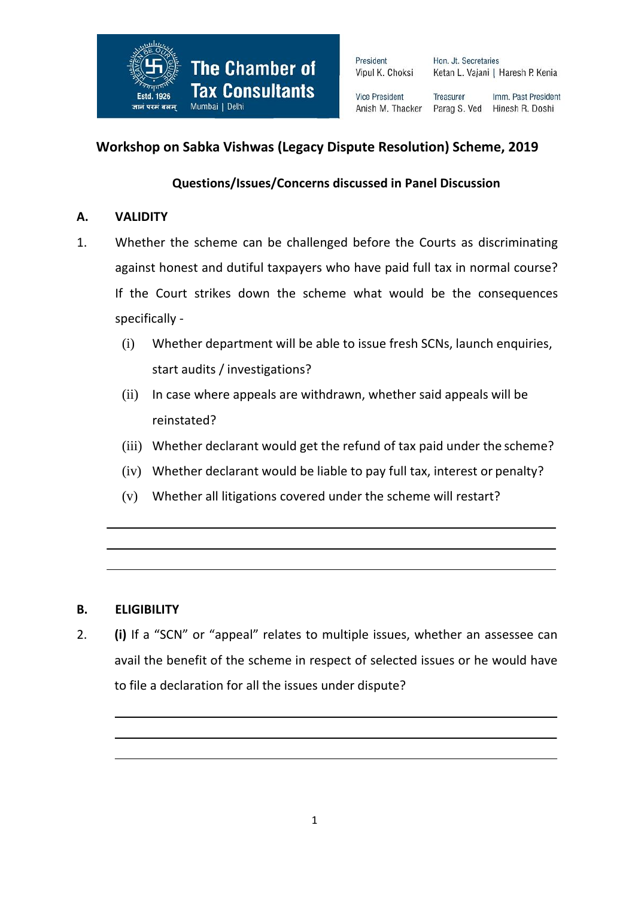

President Vipul K. Choksi Hon. Jt. Secretaries Ketan L. Vajani | Haresh P. Kenia

**Vice President** Anish M. Thacker

Treasurer Imm. Past President Parag S. Ved Hinesh R. Doshi

# **Workshop on Sabka Vishwas (Legacy Dispute Resolution) Scheme, 2019**

## **Questions/Issues/Concerns discussed in Panel Discussion**

### **A. VALIDITY**

- 1. Whether the scheme can be challenged before the Courts as discriminating against honest and dutiful taxpayers who have paid full tax in normal course? If the Court strikes down the scheme what would be the consequences specifically -
	- (i) Whether department will be able to issue fresh SCNs, launch enquiries, start audits / investigations?
	- (ii) In case where appeals are withdrawn, whether said appeals will be reinstated?
	- (iii) Whether declarant would get the refund of tax paid under the scheme?
	- (iv) Whether declarant would be liable to pay full tax, interest or penalty?
	- (v) Whether all litigations covered under the scheme will restart?

### **B. ELIGIBILITY**

2. **(i)** If a "SCN" or "appeal" relates to multiple issues, whether an assessee can avail the benefit of the scheme in respect of selected issues or he would have to file a declaration for all the issues under dispute?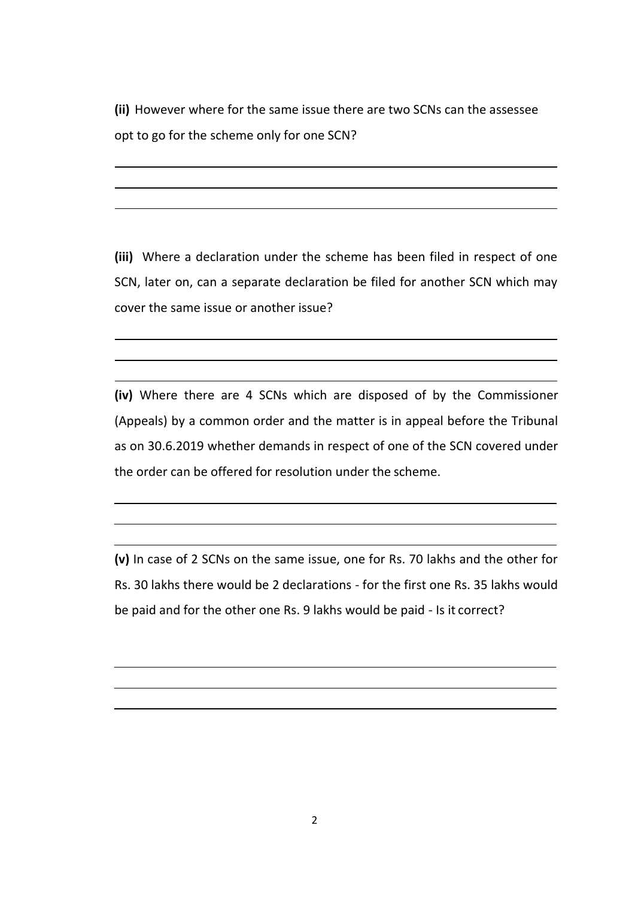**(ii)** However where for the same issue there are two SCNs can the assessee opt to go for the scheme only for one SCN?

**(iii)** Where a declaration under the scheme has been filed in respect of one SCN, later on, can a separate declaration be filed for another SCN which may cover the same issue or another issue?

**(iv)** Where there are 4 SCNs which are disposed of by the Commissioner (Appeals) by a common order and the matter is in appeal before the Tribunal as on 30.6.2019 whether demands in respect of one of the SCN covered under the order can be offered for resolution under the scheme.

**(v)** In case of 2 SCNs on the same issue, one for Rs. 70 lakhs and the other for Rs. 30 lakhs there would be 2 declarations - for the first one Rs. 35 lakhs would be paid and for the other one Rs. 9 lakhs would be paid - Is it correct?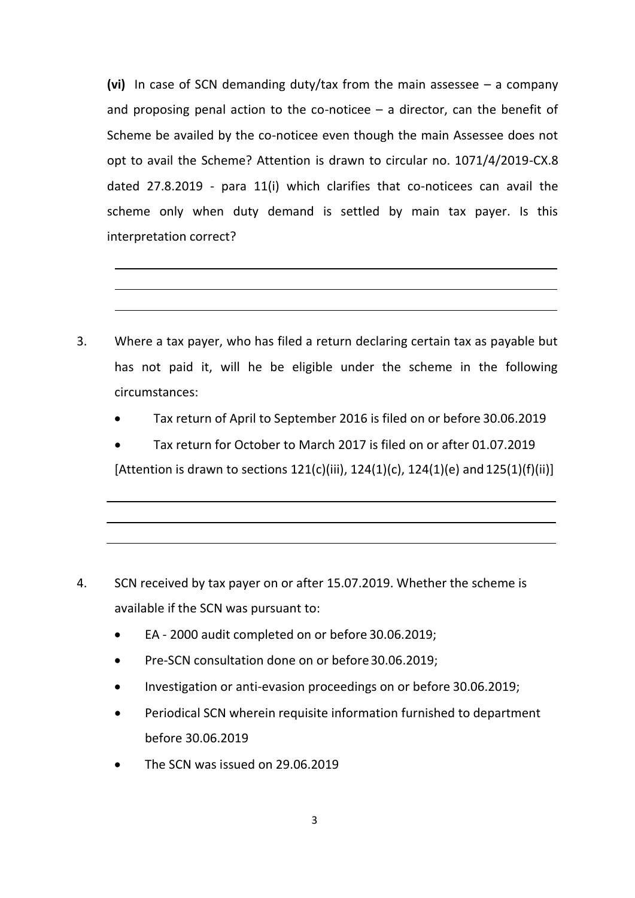**(vi)** In case of SCN demanding duty/tax from the main assessee – a company and proposing penal action to the co-noticee  $-$  a director, can the benefit of Scheme be availed by the co-noticee even though the main Assessee does not opt to avail the Scheme? Attention is drawn to circular no. 1071/4/2019-CX.8 dated 27.8.2019 - para 11(i) which clarifies that co-noticees can avail the scheme only when duty demand is settled by main tax payer. Is this interpretation correct?

- 3. Where a tax payer, who has filed a return declaring certain tax as payable but has not paid it, will he be eligible under the scheme in the following circumstances:
	- Tax return of April to September 2016 is filed on or before 30.06.2019
	- Tax return for October to March 2017 is filed on or after 01.07.2019

[Attention is drawn to sections  $121(c)$ (iii),  $124(1)(c)$ ,  $124(1)(e)$  and  $125(1)(f)$ (ii)]

- 4. SCN received by tax payer on or after 15.07.2019. Whether the scheme is available if the SCN was pursuant to:
	- EA 2000 audit completed on or before 30.06.2019;
	- Pre-SCN consultation done on or before 30.06.2019;
	- Investigation or anti-evasion proceedings on or before 30.06.2019;
	- Periodical SCN wherein requisite information furnished to department before 30.06.2019
	- The SCN was issued on 29.06.2019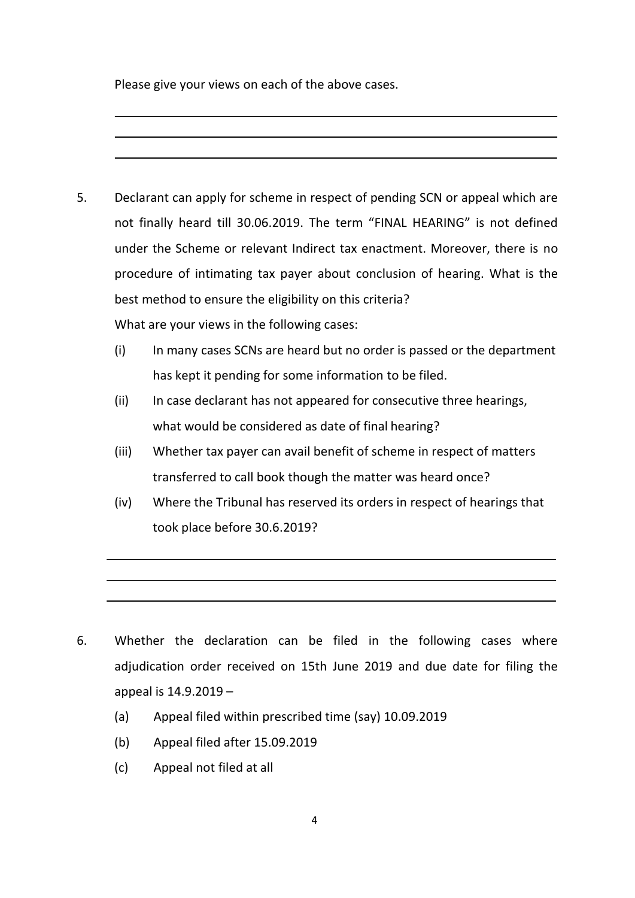Please give your views on each of the above cases.

- 5. Declarant can apply for scheme in respect of pending SCN or appeal which are not finally heard till 30.06.2019. The term "FINAL HEARING" is not defined under the Scheme or relevant Indirect tax enactment. Moreover, there is no procedure of intimating tax payer about conclusion of hearing. What is the best method to ensure the eligibility on this criteria? What are your views in the following cases:
	- (i) In many cases SCNs are heard but no order is passed or the department has kept it pending for some information to be filed.
	- (ii) In case declarant has not appeared for consecutive three hearings, what would be considered as date of final hearing?
	- (iii) Whether tax payer can avail benefit of scheme in respect of matters transferred to call book though the matter was heard once?
	- (iv) Where the Tribunal has reserved its orders in respect of hearings that took place before 30.6.2019?

- 6. Whether the declaration can be filed in the following cases where adjudication order received on 15th June 2019 and due date for filing the appeal is 14.9.2019 –
	- (a) Appeal filed within prescribed time (say) 10.09.2019
	- (b) Appeal filed after 15.09.2019
	- (c) Appeal not filed at all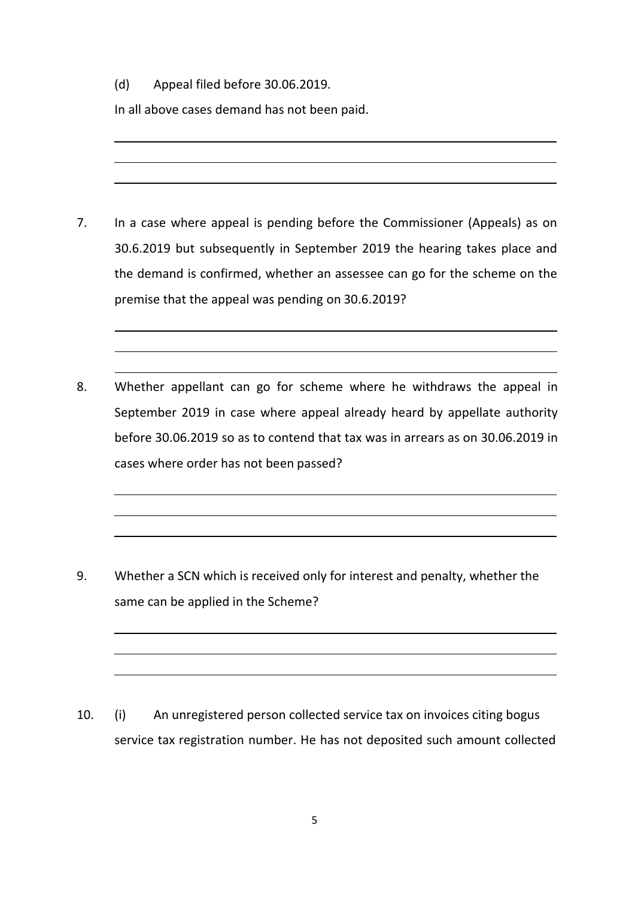(d) Appeal filed before 30.06.2019.

In all above cases demand has not been paid.

- 7. In a case where appeal is pending before the Commissioner (Appeals) as on 30.6.2019 but subsequently in September 2019 the hearing takes place and the demand is confirmed, whether an assessee can go for the scheme on the premise that the appeal was pending on 30.6.2019?
- 8. Whether appellant can go for scheme where he withdraws the appeal in September 2019 in case where appeal already heard by appellate authority before 30.06.2019 so as to contend that tax was in arrears as on 30.06.2019 in cases where order has not been passed?

9. Whether a SCN which is received only for interest and penalty, whether the same can be applied in the Scheme?

10. (i) An unregistered person collected service tax on invoices citing bogus service tax registration number. He has not deposited such amount collected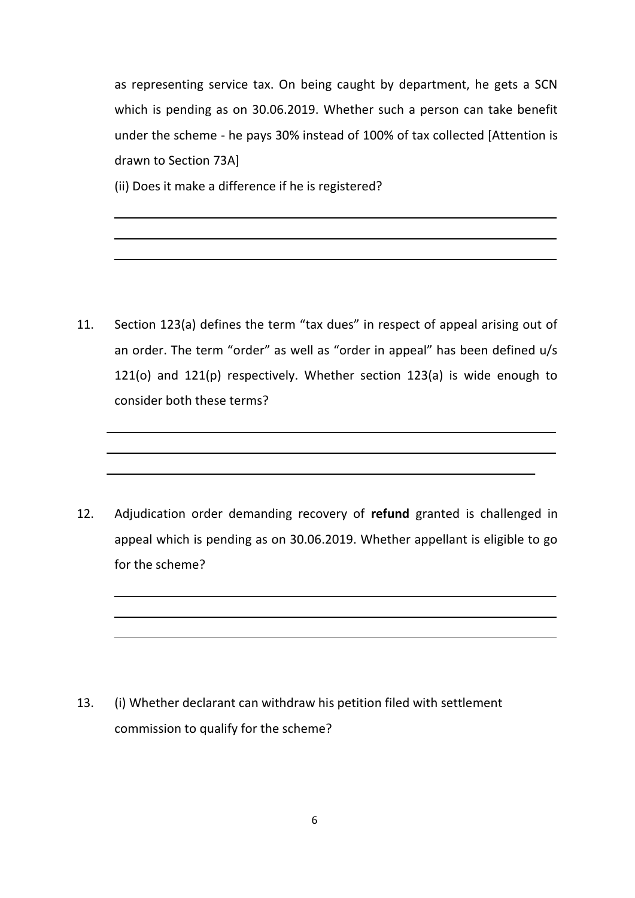as representing service tax. On being caught by department, he gets a SCN which is pending as on 30.06.2019. Whether such a person can take benefit under the scheme - he pays 30% instead of 100% of tax collected [Attention is drawn to Section 73A]

(ii) Does it make a difference if he is registered?

11. Section 123(a) defines the term "tax dues" in respect of appeal arising out of an order. The term "order" as well as "order in appeal" has been defined u/s 121(o) and 121(p) respectively. Whether section 123(a) is wide enough to consider both these terms?

12. Adjudication order demanding recovery of **refund** granted is challenged in appeal which is pending as on 30.06.2019. Whether appellant is eligible to go for the scheme?

13. (i) Whether declarant can withdraw his petition filed with settlement commission to qualify for the scheme?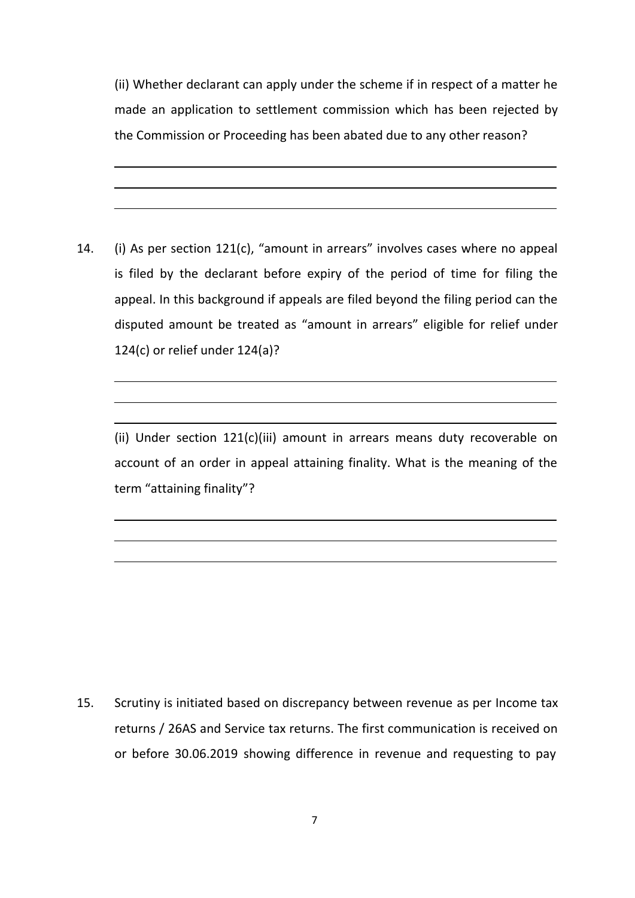(ii) Whether declarant can apply under the scheme if in respect of a matter he made an application to settlement commission which has been rejected by the Commission or Proceeding has been abated due to any other reason?

14. (i) As per section 121(c), "amount in arrears" involves cases where no appeal is filed by the declarant before expiry of the period of time for filing the appeal. In this background if appeals are filed beyond the filing period can the disputed amount be treated as "amount in arrears" eligible for relief under 124(c) or relief under 124(a)?

(ii) Under section 121(c)(iii) amount in arrears means duty recoverable on account of an order in appeal attaining finality. What is the meaning of the term "attaining finality"?

15. Scrutiny is initiated based on discrepancy between revenue as per Income tax returns / 26AS and Service tax returns. The first communication is received on or before 30.06.2019 showing difference in revenue and requesting to pay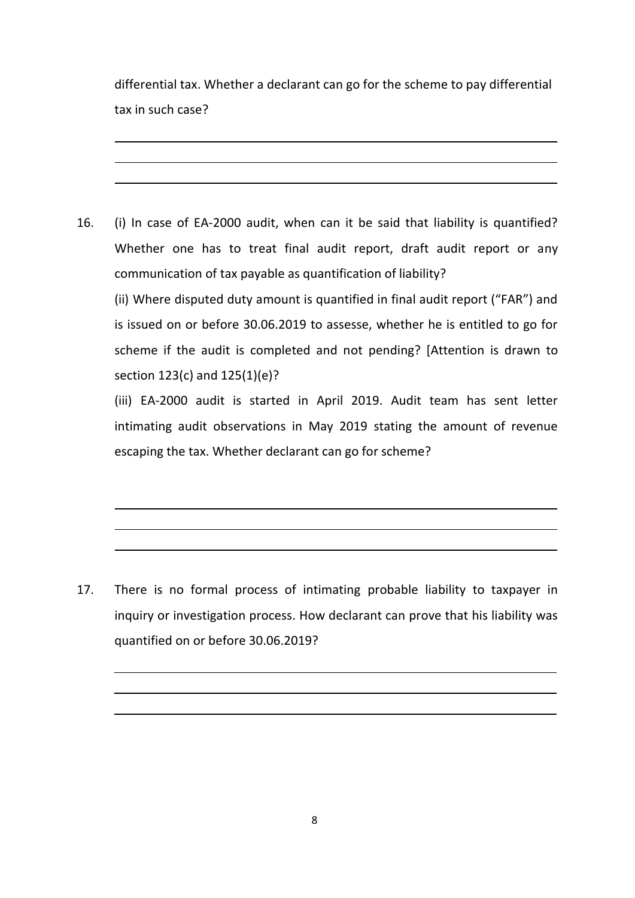differential tax. Whether a declarant can go for the scheme to pay differential tax in such case?

16. (i) In case of EA-2000 audit, when can it be said that liability is quantified? Whether one has to treat final audit report, draft audit report or any communication of tax payable as quantification of liability?

(ii) Where disputed duty amount is quantified in final audit report ("FAR") and is issued on or before 30.06.2019 to assesse, whether he is entitled to go for scheme if the audit is completed and not pending? [Attention is drawn to section 123(c) and 125(1)(e)?

(iii) EA-2000 audit is started in April 2019. Audit team has sent letter intimating audit observations in May 2019 stating the amount of revenue escaping the tax. Whether declarant can go for scheme?

17. There is no formal process of intimating probable liability to taxpayer in inquiry or investigation process. How declarant can prove that his liability was quantified on or before 30.06.2019?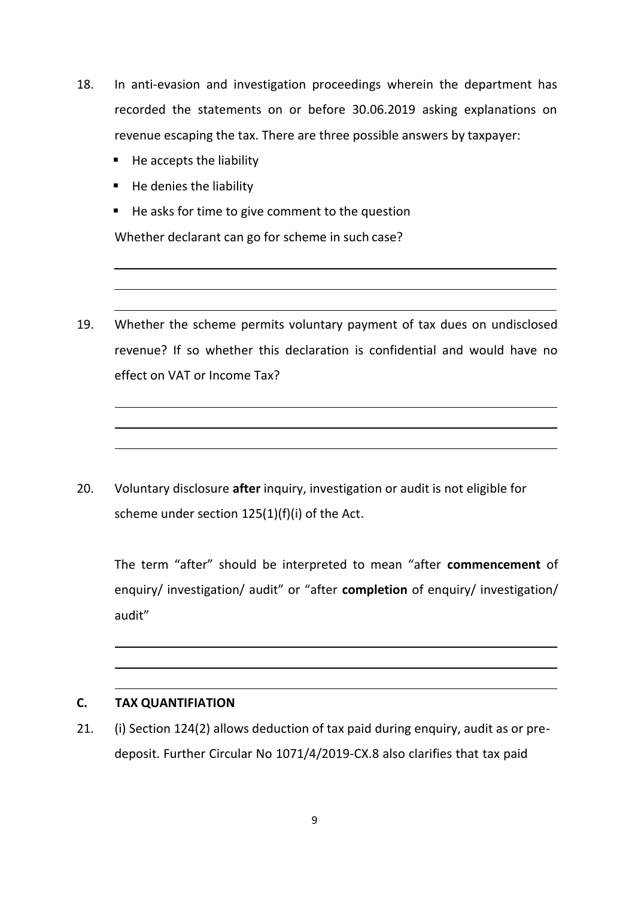- 18. In anti-evasion and investigation proceedings wherein the department has recorded the statements on or before 30.06.2019 asking explanations on revenue escaping the tax. There are three possible answers by taxpayer:
	- $H$  He accepts the liability
	- $\blacksquare$  He denies the liability
	- He asks for time to give comment to the question Whether declarant can go for scheme in such case?
- 19. Whether the scheme permits voluntary payment of tax dues on undisclosed revenue? If so whether this declaration is confidential and would have no effect on VAT or Income Tax?

20. Voluntary disclosure **after** inquiry, investigation or audit is not eligible for scheme under section 125(1)(f)(i) of the Act.

The term "after" should be interpreted to mean "after **commencement** of enquiry/ investigation/ audit" or "after **completion** of enquiry/ investigation/ audit"

### **C. TAX QUANTIFIATION**

21. (i) Section 124(2) allows deduction of tax paid during enquiry, audit as or predeposit. Further Circular No 1071/4/2019-CX.8 also clarifies that tax paid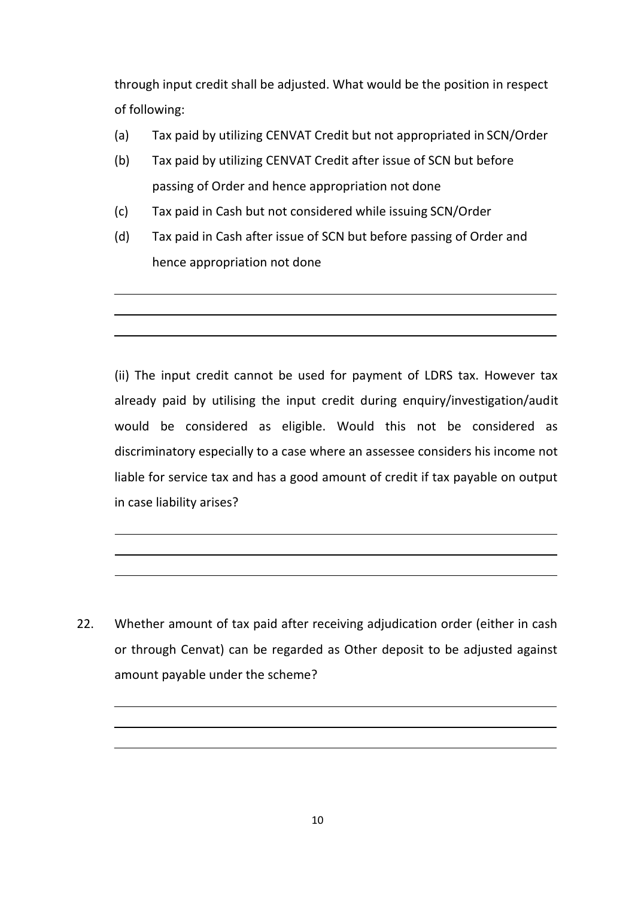through input credit shall be adjusted. What would be the position in respect of following:

- (a) Tax paid by utilizing CENVAT Credit but not appropriated in SCN/Order
- (b) Tax paid by utilizing CENVAT Credit after issue of SCN but before passing of Order and hence appropriation not done
- (c) Tax paid in Cash but not considered while issuing SCN/Order
- (d) Tax paid in Cash after issue of SCN but before passing of Order and hence appropriation not done

(ii) The input credit cannot be used for payment of LDRS tax. However tax already paid by utilising the input credit during enquiry/investigation/audit would be considered as eligible. Would this not be considered as discriminatory especially to a case where an assessee considers his income not liable for service tax and has a good amount of credit if tax payable on output in case liability arises?

22. Whether amount of tax paid after receiving adjudication order (either in cash or through Cenvat) can be regarded as Other deposit to be adjusted against amount payable under the scheme?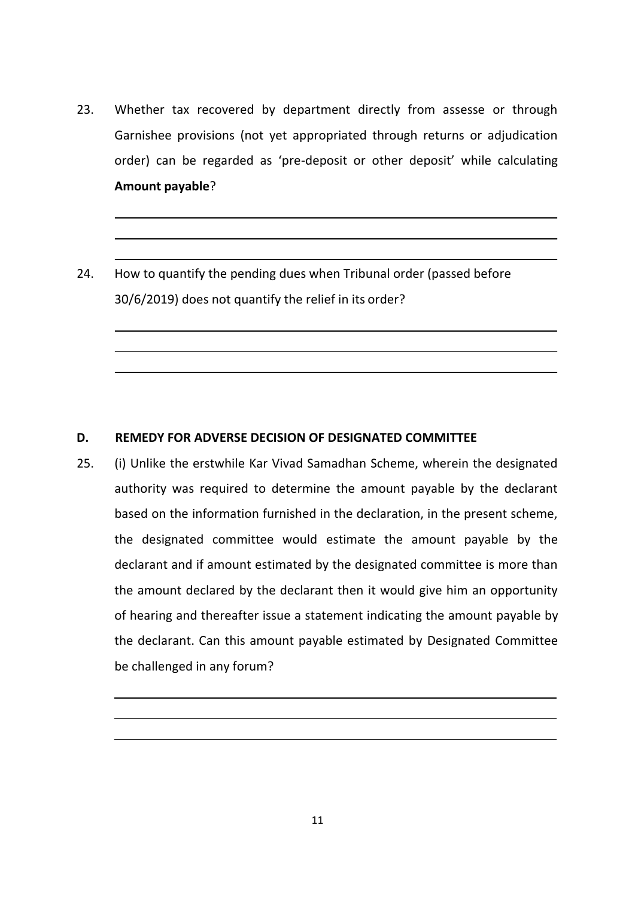- 23. Whether tax recovered by department directly from assesse or through Garnishee provisions (not yet appropriated through returns or adjudication order) can be regarded as 'pre-deposit or other deposit' while calculating **Amount payable**?
- 24. How to quantify the pending dues when Tribunal order (passed before 30/6/2019) does not quantify the relief in its order?

#### **D. REMEDY FOR ADVERSE DECISION OF DESIGNATED COMMITTEE**

25. (i) Unlike the erstwhile Kar Vivad Samadhan Scheme, wherein the designated authority was required to determine the amount payable by the declarant based on the information furnished in the declaration, in the present scheme, the designated committee would estimate the amount payable by the declarant and if amount estimated by the designated committee is more than the amount declared by the declarant then it would give him an opportunity of hearing and thereafter issue a statement indicating the amount payable by the declarant. Can this amount payable estimated by Designated Committee be challenged in any forum?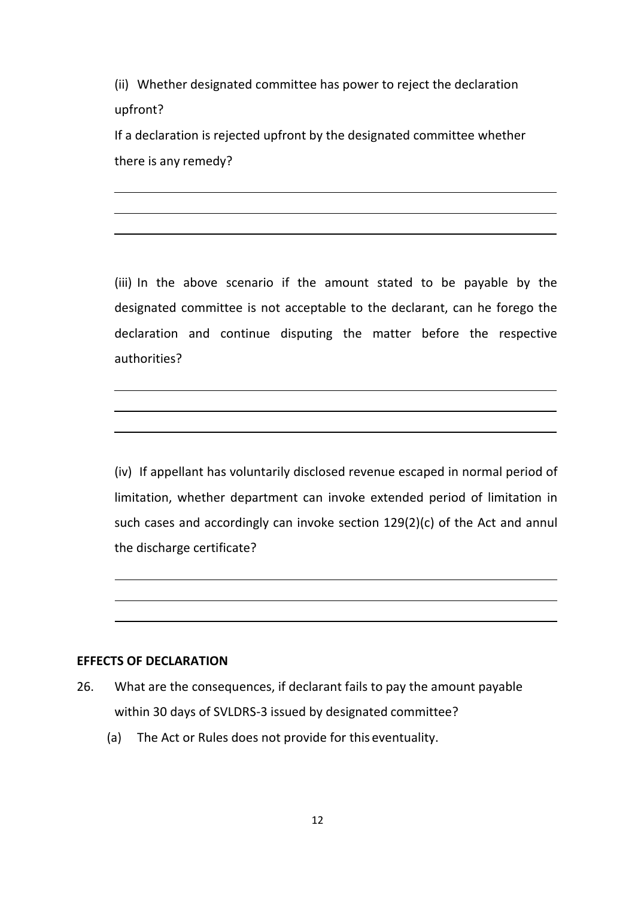(ii) Whether designated committee has power to reject the declaration upfront?

If a declaration is rejected upfront by the designated committee whether there is any remedy?

(iii) In the above scenario if the amount stated to be payable by the designated committee is not acceptable to the declarant, can he forego the declaration and continue disputing the matter before the respective authorities?

(iv) If appellant has voluntarily disclosed revenue escaped in normal period of limitation, whether department can invoke extended period of limitation in such cases and accordingly can invoke section 129(2)(c) of the Act and annul the discharge certificate?

#### **EFFECTS OF DECLARATION**

- 26. What are the consequences, if declarant fails to pay the amount payable within 30 days of SVLDRS-3 issued by designated committee?
	- (a) The Act or Rules does not provide for this eventuality.